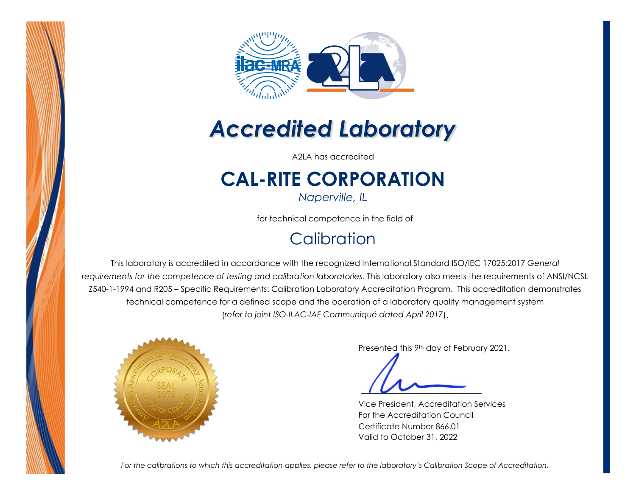



# *Accredited Laboratory*

A2LA has accredited

# **CAL-RITE CORPORATION**

*Naperville, IL* 

for technical competence in the field of

## **Calibration**

This laboratory is accredited in accordance with the recognized International Standard ISO/IEC 17025:2017 *General requirements for the competence of testing and calibration laboratories*. This laboratory also meets the requirements of ANSI/NCSL Z540-1-1994 and R205 – Specific Requirements: Calibration Laboratory Accreditation Program. This accreditation demonstrates technical competence for a defined scope and the operation of a laboratory quality management system (*refer to joint ISO-ILAC-IAF Communiqué dated April 2017*).



Presented this 9th day of February 2021.

Vice President, Accreditation Services For the Accreditation Council Certificate Number 866.01 Valid to October 31, 2022

*For the calibrations to which this accreditation applies, please refer to the laboratory's Calibration Scope of Accreditation.*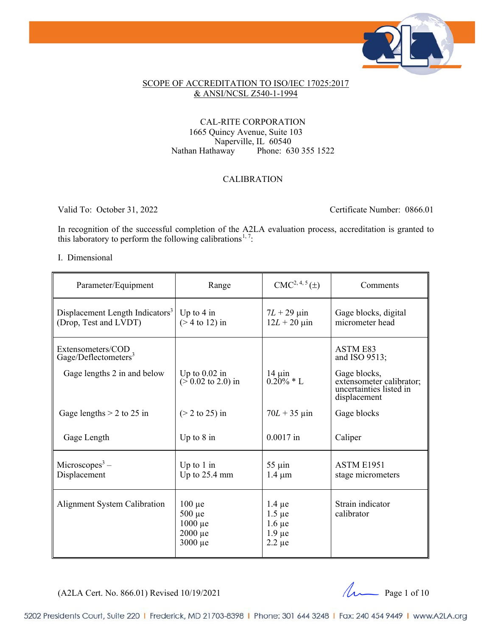

#### SCOPE OF ACCREDITATION TO ISO/IEC 17025:2017 & ANSI/NCSL Z540-1-1994

#### CAL-RITE CORPORATION 1665 Quincy Avenue, Suite 103 Naperville, IL 60540<br>Nathan Hathaway Phone: 63 Phone: 630 355 1522

#### CALIBRATION

Valid To: October 31, 2022 Certificate Number: 0866.01

In recognition of the successful completion of the A2LA evaluation process, accreditation is granted to this laboratory to perform the following calibrations<sup>[1](#page-10-0),7</sup>:

#### I. Dimensional

| Parameter/Equipment                                                  | Range                                                                      | $CMC2, 4, 5(\pm)$                                                       | Comments                                                                            |
|----------------------------------------------------------------------|----------------------------------------------------------------------------|-------------------------------------------------------------------------|-------------------------------------------------------------------------------------|
| Displacement Length Indicators <sup>3</sup><br>(Drop, Test and LVDT) | Up to $4$ in<br>$($ 2 4 to 12) in                                          | $7L + 29 \mu$ in<br>$12L + 20 \,\mu$ in                                 | Gage blocks, digital<br>micrometer head                                             |
| Extensometers/COD<br>Gage/Deflectometers <sup>3</sup>                |                                                                            |                                                                         | <b>ASTM E83</b><br>and ISO 9513;                                                    |
| Gage lengths 2 in and below                                          | Up to $0.02$ in<br>$(50.02 \text{ to } 2.0) \text{ in}$                    | $14 \mu$ in<br>$0.20\% * L$                                             | Gage blocks,<br>extensometer calibrator;<br>uncertainties listed in<br>displacement |
| Gage lengths $> 2$ to 25 in                                          | $(> 2$ to 25) in                                                           | $70L + 35 \,\mu m$                                                      | Gage blocks                                                                         |
| Gage Length                                                          | Up to $8$ in                                                               | $0.0017$ in                                                             | Caliper                                                                             |
| Microscopes <sup>3</sup> –<br>Displacement                           | Up to $1$ in<br>Up to $25.4$ mm                                            | $55 \mu$ in<br>$1.4 \mu m$                                              | ASTM E1951<br>stage micrometers                                                     |
| <b>Alignment System Calibration</b>                                  | $100 \mu e$<br>$500 \mu e$<br>$1000 \mu e$<br>$2000 \mu e$<br>$3000 \mu e$ | $1.4 \mu e$<br>$1.5 \mu e$<br>$1.6 \mu e$<br>$1.9 \mu e$<br>$2.2 \mu e$ | Strain indicator<br>calibrator                                                      |

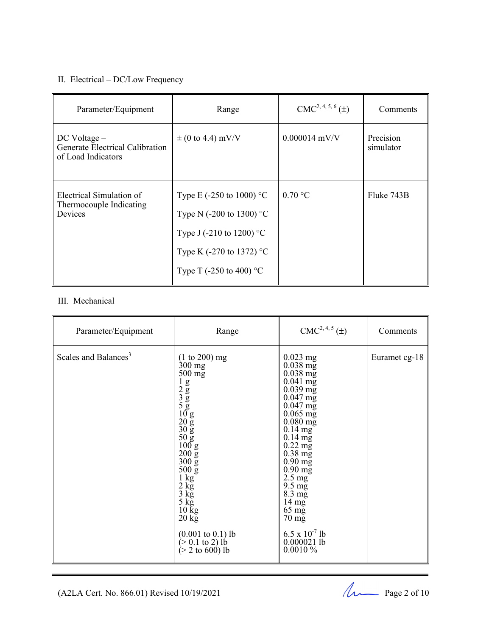### II. Electrical – DC/Low Frequency

| Parameter/Equipment                                                       | Range                                                                                                                                                                                     | $CMC2, 4, 5, 6(\pm)$ | Comments               |
|---------------------------------------------------------------------------|-------------------------------------------------------------------------------------------------------------------------------------------------------------------------------------------|----------------------|------------------------|
| $DC$ Voltage $-$<br>Generate Electrical Calibration<br>of Load Indicators | $\pm$ (0 to 4.4) mV/V                                                                                                                                                                     | $0.000014$ mV/V      | Precision<br>simulator |
| Electrical Simulation of<br>Thermocouple Indicating<br>Devices            | Type E (-250 to 1000) $^{\circ}$ C<br>Type N (-200 to 1300) $^{\circ}$ C<br>Type J (-210 to 1200) $^{\circ}$ C<br>Type K (-270 to 1372) $^{\circ}$ C<br>Type T (-250 to 400) $^{\circ}$ C | $0.70 \degree C$     | Fluke 743B             |

#### III. Mechanical

| Parameter/Equipment              | Range                                                                                                                                                                                                                                                                                                                                                                                                                                                              | $CMC2, 4, 5(\pm)$                                                                                                                                                                                                                                                                                                                                                                                                                  | Comments      |
|----------------------------------|--------------------------------------------------------------------------------------------------------------------------------------------------------------------------------------------------------------------------------------------------------------------------------------------------------------------------------------------------------------------------------------------------------------------------------------------------------------------|------------------------------------------------------------------------------------------------------------------------------------------------------------------------------------------------------------------------------------------------------------------------------------------------------------------------------------------------------------------------------------------------------------------------------------|---------------|
| Scales and Balances <sup>3</sup> | $(1 to 200)$ mg<br>$300 \text{ mg}$<br>$500 \text{ mg}$<br>$\frac{1}{2}$<br>$\frac{2}{3}$<br>$\frac{5}{5}$<br>$\frac{10}{20}$<br>$\frac{10}{30}$<br>$\frac{10}{5}$<br>$\frac{10}{30}$<br>$\frac{50}{100}$ g<br>$200 \mathrm{g}$<br>$300\,\mathrm{g}$<br>$500 g$<br>$1 kg$<br>$2 kg$<br>$3 kg$<br>$5 kg$<br>$10 kg$<br>$201$<br>$20 \text{ kg}$<br>$(0.001 \text{ to } 0.1) \text{ lb}$<br>$(> 0.1 \text{ to } 2) \text{ lb}$<br>$(> 2 \text{ to } 600) \text{ lb}$ | $0.023$ mg<br>$0.038$ mg<br>$0.038 \text{ mg}$<br>$0.041$ mg<br>$0.039$ mg<br>$0.047$ mg<br>$0.047$ mg<br>$0.065 \text{ mg}$<br>$0.080$ mg<br>$0.14$ mg<br>$0.14 \text{ mg}$<br>$0.22 \text{ mg}$<br>$0.38 \text{ mg}$<br>$0.90 \text{ mg}$<br>$0.90 \text{ mg}$<br>$2.5 \text{ mg}$<br>$9.5 \text{ mg}$<br>$8.3 \text{ mg}$<br>$14 \text{ mg}$<br>$65 \text{ mg}$<br>70 mg<br>$6.5 \times 10^{-7}$ lb<br>$0.000021$ lb<br>0.0010% | Euramet cg-18 |

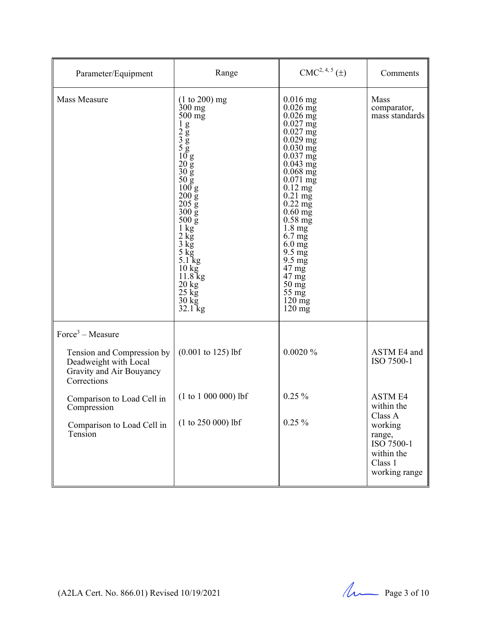| Parameter/Equipment                                                                                                  | Range                                                                                                                                                                                                                                                                                                                                                                                                                                                                                                                      | $CMC2, 4, 5(\pm)$                                                                                                                                                                                                                                                                                                                                                                                                                                                                                          | Comments                                                                  |
|----------------------------------------------------------------------------------------------------------------------|----------------------------------------------------------------------------------------------------------------------------------------------------------------------------------------------------------------------------------------------------------------------------------------------------------------------------------------------------------------------------------------------------------------------------------------------------------------------------------------------------------------------------|------------------------------------------------------------------------------------------------------------------------------------------------------------------------------------------------------------------------------------------------------------------------------------------------------------------------------------------------------------------------------------------------------------------------------------------------------------------------------------------------------------|---------------------------------------------------------------------------|
| Mass Measure                                                                                                         | $(1 to 200)$ mg<br>$300$ mg<br>$500 \text{ mg}$<br>$\frac{1}{2}$<br>$\frac{2}{3}$<br>$\frac{8}{5}$<br>$\frac{1}{20}$<br>$\frac{1}{20}$<br>$\frac{20}{5}$<br>$\frac{1}{30}$<br>$\frac{50 \text{ g}}{100 \text{ g}}$<br>$200 \text{ g}$<br>$205 \overline{g}$<br>$300\,\mathrm{g}$<br>$500 \mathrm{g}$<br>$1\ \mathrm{kg}$<br>$\frac{2 \text{ kg}}{3 \text{ kg}}$<br>$5 \,\mathrm{kg}$<br>$5.1 \text{ kg}$<br>$10 \text{ kg}$<br>11.8 kg<br>$\frac{20 \text{ kg}}{25 \text{ kg}}$<br>$\frac{30 \text{ kg}}{32.1 \text{ kg}}$ | $0.016$ mg<br>$0.026$ mg<br>$0.026$ mg<br>$0.027$ mg<br>$0.027 \text{ mg}$<br>$0.029$ mg<br>$0.030$ mg<br>$0.037 \text{ mg}$<br>$0.043$ mg<br>$0.068$ mg<br>$0.071 \text{ mg}$<br>$0.12 \text{ mg}$<br>$0.21 \text{ mg}$<br>$0.22 \text{ mg}$<br>$0.60$ mg<br>$0.58 \text{ mg}$<br>$1.8 \text{ mg}$<br>$6.7 \text{ mg}$<br>$6.0 \text{ mg}$<br>$9.5 \text{ mg}$<br>$9.5 \text{ mg}$<br>$47 \text{ mg}$<br>$47 \text{ mg}$<br>$50 \,\mathrm{mg}$<br>$55 \text{ mg}$<br>$120 \text{ mg}$<br>$120 \text{ mg}$ | Mass<br>comparator,<br>mass standards                                     |
| $Force3 - Measure$<br>Tension and Compression by<br>Deadweight with Local<br>Gravity and Air Bouyancy<br>Corrections | $(0.001 \text{ to } 125) \text{ lbf}$                                                                                                                                                                                                                                                                                                                                                                                                                                                                                      | 0.0020%                                                                                                                                                                                                                                                                                                                                                                                                                                                                                                    | ASTM E4 and<br>ISO 7500-1                                                 |
| Comparison to Load Cell in<br>Compression                                                                            | $(1 to 1 000 000)$ lbf                                                                                                                                                                                                                                                                                                                                                                                                                                                                                                     | $0.25 \%$                                                                                                                                                                                                                                                                                                                                                                                                                                                                                                  | <b>ASTM E4</b><br>within the<br>Class A                                   |
| Comparison to Load Cell in<br>Tension                                                                                | $(1 to 250 000)$ lbf                                                                                                                                                                                                                                                                                                                                                                                                                                                                                                       | $0.25 \%$                                                                                                                                                                                                                                                                                                                                                                                                                                                                                                  | working<br>range,<br>ISO 7500-1<br>within the<br>Class 1<br>working range |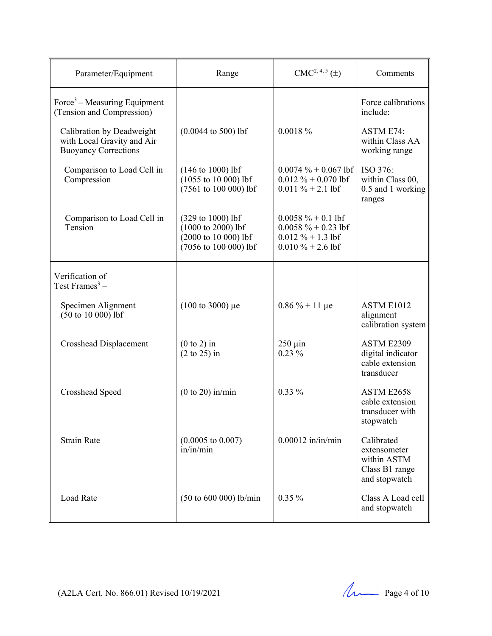| Parameter/Equipment                                                                    | Range                                                                                                       | $CMC2, 4, 5(\pm)$                                                                               | Comments                                                                     |
|----------------------------------------------------------------------------------------|-------------------------------------------------------------------------------------------------------------|-------------------------------------------------------------------------------------------------|------------------------------------------------------------------------------|
| Force <sup>3</sup> – Measuring Equipment<br>(Tension and Compression)                  |                                                                                                             |                                                                                                 | Force calibrations<br>include:                                               |
| Calibration by Deadweight<br>with Local Gravity and Air<br><b>Buoyancy Corrections</b> | $(0.0044 \text{ to } 500) \text{ lbf}$                                                                      | $0.0018 \%$                                                                                     | <b>ASTM E74:</b><br>within Class AA<br>working range                         |
| Comparison to Load Cell in<br>Compression                                              | $(146 \text{ to } 1000) \text{ lbf}$<br>$(1055$ to 10 000) lbf<br>(7561 to 100 000) lbf                     | $0.0074 \% + 0.067$ lbf<br>$0.012 \% + 0.070$ lbf<br>$0.011 \% + 2.1$ lbf                       | ISO 376:<br>within Class 00,<br>0.5 and 1 working<br>ranges                  |
| Comparison to Load Cell in<br>Tension                                                  | (329 to 1000) lbf<br>$(1000 \text{ to } 2000) \text{ lbf}$<br>(2000 to 10 000) lbf<br>(7056 to 100 000) lbf | $0.0058 \% + 0.1$ lbf<br>$0.0058 \% + 0.23$ lbf<br>$0.012 \% + 1.3$ lbf<br>$0.010 \% + 2.6$ lbf |                                                                              |
| Verification of<br>Test Frames <sup>3</sup> –                                          |                                                                                                             |                                                                                                 |                                                                              |
| Specimen Alignment<br>$(50 \text{ to } 10\ 000)$ lbf                                   | $(100 \text{ to } 3000) \mu e$                                                                              | $0.86\% + 11 \mu e$                                                                             | ASTM E1012<br>alignment<br>calibration system                                |
| Crosshead Displacement                                                                 | $(0 to 2)$ in<br>$(2 \text{ to } 25)$ in                                                                    | $250 \mu$ in<br>$0.23\%$                                                                        | ASTM E2309<br>digital indicator<br>cable extension<br>transducer             |
| Crosshead Speed                                                                        | $(0 to 20)$ in/min                                                                                          | $0.33\%$                                                                                        | ASTM E2658<br>cable extension<br>transducer with<br>stopwatch                |
| <b>Strain Rate</b>                                                                     | $(0.0005 \text{ to } 0.007)$<br>in/in/min                                                                   | $0.00012$ in/in/min                                                                             | Calibrated<br>extensometer<br>within ASTM<br>Class B1 range<br>and stopwatch |
| <b>Load Rate</b>                                                                       | $(50 \text{ to } 600 \text{ 000})$ lb/min                                                                   | $0.35\%$                                                                                        | Class A Load cell<br>and stopwatch                                           |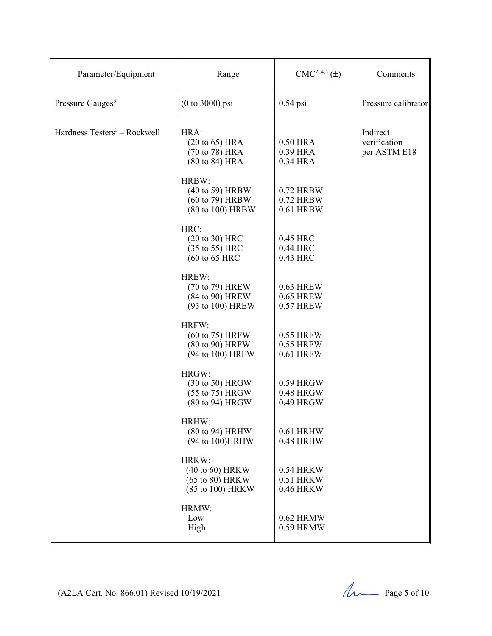| Parameter/Equipment                      | Range                                                                           | $CMC2, 4,5(\pm)$                    | Comments                                 |
|------------------------------------------|---------------------------------------------------------------------------------|-------------------------------------|------------------------------------------|
| Pressure Gauges <sup>3</sup>             | $(0 to 3000)$ psi                                                               | $0.54$ psi                          | Pressure calibrator                      |
| Hardness Testers <sup>3</sup> - Rockwell | HRA:<br>(20 to 65) HRA<br>(70 to 78) HRA<br>(80 to 84) HRA<br>HRBW:             | 0.50 HRA<br>0.39 HRA<br>0.34 HRA    | Indirect<br>verification<br>per ASTM E18 |
|                                          | (40 to 59) HRBW<br>(60 to 79) HRBW<br>(80 to 100) HRBW                          | 0.72 HRBW<br>0.72 HRBW<br>0.61 HRBW |                                          |
|                                          | HRC:<br>$(20 to 30)$ HRC<br>(35 to 55) HRC<br>$(60 \text{ to } 65 \text{ HRC})$ | 0.45 HRC<br>0.44 HRC<br>0.43 HRC    |                                          |
|                                          | HREW:<br>(70 to 79) HREW<br>(84 to 90) HREW<br>(93 to 100) HREW                 | 0.63 HREW<br>0.65 HREW<br>0.57 HREW |                                          |
|                                          | HRFW:<br>(60 to 75) HRFW<br>(80 to 90) HRFW<br>(94 to 100) HRFW                 | 0.55 HRFW<br>0.55 HRFW<br>0.61 HRFW |                                          |
|                                          | HRGW:<br>(30 to 50) HRGW<br>(55 to 75) HRGW<br>(80 to 94) HRGW                  | 0.59 HRGW<br>0.48 HRGW<br>0.49 HRGW |                                          |
|                                          | HRHW:<br>(80 to 94) HRHW<br>(94 to 100) HRHW                                    | 0.61 HRHW<br>0.48 HRHW              |                                          |
|                                          | HRKW:<br>$(40 \text{ to } 60)$ HRKW<br>(65 to 80) HRKW<br>(85 to 100) HRKW      | 0.54 HRKW<br>0.51 HRKW<br>0.46 HRKW |                                          |
|                                          | HRMW:<br>Low<br>High                                                            | 0.62 HRMW<br>0.59 HRMW              |                                          |

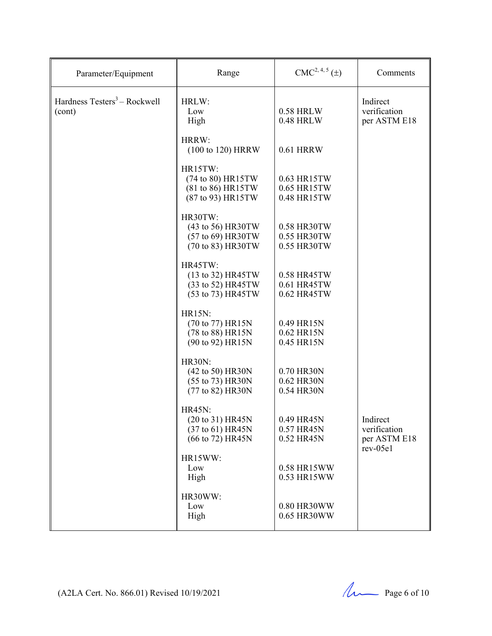| Parameter/Equipment                                | Range                                                                     | $CMC2, 4, 5(\pm)$                         | Comments                                               |
|----------------------------------------------------|---------------------------------------------------------------------------|-------------------------------------------|--------------------------------------------------------|
| Hardness Testers <sup>3</sup> – Rockwell<br>(cont) | HRLW:<br>Low<br>High                                                      | <b>0.58 HRLW</b><br>0.48 HRLW             | Indirect<br>verification<br>per ASTM E18               |
|                                                    | HRRW:<br>(100 to 120) HRRW                                                | <b>0.61 HRRW</b>                          |                                                        |
|                                                    | HR15TW:<br>(74 to 80) HR15TW<br>(81 to 86) HR15TW<br>(87 to 93) HR15TW    | 0.63 HR15TW<br>0.65 HR15TW<br>0.48 HR15TW |                                                        |
|                                                    | HR30TW:<br>(43 to 56) HR30TW<br>(57 to 69) HR30TW<br>(70 to 83) HR30TW    | 0.58 HR30TW<br>0.55 HR30TW<br>0.55 HR30TW |                                                        |
|                                                    | HR45TW:<br>(13 to 32) HR45TW<br>(33 to 52) HR45TW<br>(53 to 73) HR45TW    | 0.58 HR45TW<br>0.61 HR45TW<br>0.62 HR45TW |                                                        |
|                                                    | <b>HR15N:</b><br>(70 to 77) HR15N<br>(78 to 88) HR15N<br>(90 to 92) HR15N | 0.49 HR15N<br>0.62 HR15N<br>0.45 HR15N    |                                                        |
|                                                    | <b>HR30N:</b><br>(42 to 50) HR30N<br>(55 to 73) HR30N<br>(77 to 82) HR30N | 0.70 HR30N<br>0.62 HR30N<br>0.54 HR30N    |                                                        |
|                                                    | <b>HR45N:</b><br>(20 to 31) HR45N<br>(37 to 61) HR45N<br>(66 to 72) HR45N | 0.49 HR45N<br>0.57 HR45N<br>0.52 HR45N    | Indirect<br>verification<br>per ASTM E18<br>$rev-05e1$ |
|                                                    | HR15WW:<br>Low<br>High                                                    | 0.58 HR15WW<br>0.53 HR15WW                |                                                        |
|                                                    | HR30WW:<br>Low<br>High                                                    | 0.80 HR30WW<br>0.65 HR30WW                |                                                        |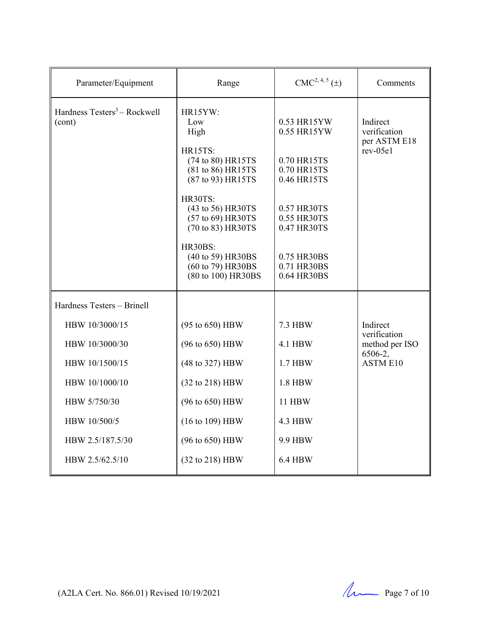| Parameter/Equipment                                                                                                                         | Range                                                                                                                                                                                                                                                 | $CMC2, 4, 5(\pm)$                                                                                                                                                 | Comments                                                                 |
|---------------------------------------------------------------------------------------------------------------------------------------------|-------------------------------------------------------------------------------------------------------------------------------------------------------------------------------------------------------------------------------------------------------|-------------------------------------------------------------------------------------------------------------------------------------------------------------------|--------------------------------------------------------------------------|
| Hardness Testers <sup>3</sup> – Rockwell<br>(cont)                                                                                          | HR15YW:<br>Low<br>High<br>HR15TS:<br>(74 to 80) HR15TS<br>(81 to 86) HR15TS<br>(87 to 93) HR15TS<br>HR30TS:<br>(43 to 56) HR30TS<br>(57 to 69) HR30TS<br>(70 to 83) HR30TS<br>HR30BS:<br>(40 to 59) HR30BS<br>(60 to 79) HR30BS<br>(80 to 100) HR30BS | 0.53 HR15YW<br>0.55 HR15YW<br>0.70 HR15TS<br>0.70 HR15TS<br>0.46 HR15TS<br>0.57 HR30TS<br>0.55 HR30TS<br>0.47 HR30TS<br>0.75 HR30BS<br>0.71 HR30BS<br>0.64 HR30BS | Indirect<br>verification<br>per ASTM E18<br>$rev-05e1$                   |
| Hardness Testers - Brinell                                                                                                                  |                                                                                                                                                                                                                                                       |                                                                                                                                                                   |                                                                          |
| HBW 10/3000/15<br>HBW 10/3000/30<br>HBW 10/1500/15<br>HBW 10/1000/10<br>HBW 5/750/30<br>HBW 10/500/5<br>HBW 2.5/187.5/30<br>HBW 2.5/62.5/10 | (95 to 650) HBW<br>(96 to 650) HBW<br>(48 to 327) HBW<br>(32 to 218) HBW<br>(96 to 650) HBW<br>(16 to 109) HBW<br>(96 to 650) HBW<br>(32 to 218) HBW                                                                                                  | <b>7.3 HBW</b><br><b>4.1 HBW</b><br>1.7 HBW<br>1.8 HBW<br><b>11 HBW</b><br><b>4.3 HBW</b><br>9.9 HBW<br><b>6.4 HBW</b>                                            | Indirect<br>verification<br>method per ISO<br>6506-2,<br><b>ASTM E10</b> |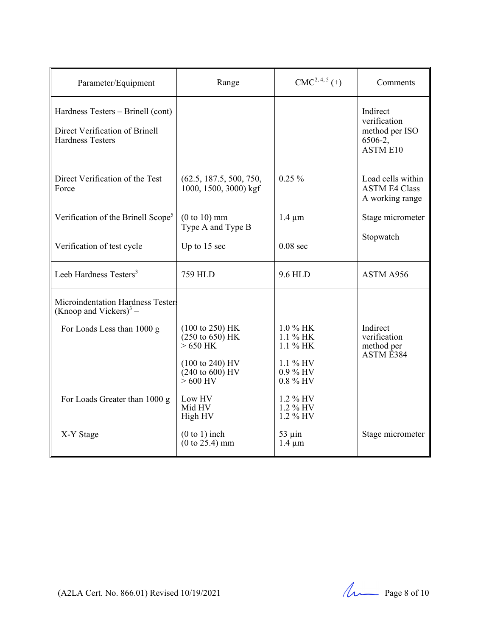| Parameter/Equipment                                                                            | Range                                                                 | $CMC2, 4, 5(\pm)$                    | Comments                                                                 |
|------------------------------------------------------------------------------------------------|-----------------------------------------------------------------------|--------------------------------------|--------------------------------------------------------------------------|
| Hardness Testers - Brinell (cont)<br>Direct Verification of Brinell<br><b>Hardness Testers</b> |                                                                       |                                      | Indirect<br>verification<br>method per ISO<br>6506-2,<br><b>ASTM E10</b> |
| Direct Verification of the Test<br>Force                                                       | (62.5, 187.5, 500, 750,<br>1000, 1500, 3000) kgf                      | $0.25\%$                             | Load cells within<br><b>ASTM E4 Class</b><br>A working range             |
| Verification of the Brinell Scope <sup>5</sup>                                                 | $(0 to 10)$ mm<br>Type A and Type B                                   | $1.4 \mu m$                          | Stage micrometer                                                         |
| Verification of test cycle                                                                     | Up to 15 sec                                                          | $0.08$ sec                           | Stopwatch                                                                |
| Leeb Hardness Testers <sup>3</sup>                                                             | <b>759 HLD</b>                                                        | 9.6 HLD                              | ASTM A956                                                                |
| Microindentation Hardness Testers<br>(Knoop and Vickers) <sup>3</sup> –                        |                                                                       |                                      |                                                                          |
| For Loads Less than 1000 g                                                                     | $(100 \text{ to } 250)$ HK<br>$(250 \text{ to } 650)$ HK<br>$>650$ HK | 1.0 % HK<br>$1.1\%$ HK<br>$1.1\%$ HK | Indirect<br>verification<br>method per<br>ASTM <sub>E384</sub>           |
|                                                                                                | $(100 \text{ to } 240)$ HV<br>$(240 \text{ to } 600)$ HV<br>$>600$ HV | 1.1 % HV<br>0.9 % HV<br>0.8 % HV     |                                                                          |
| For Loads Greater than 1000 g                                                                  | Low HV<br>Mid HV<br>High HV                                           | $1.2\%$ HV<br>1.2 % HV<br>1.2 % HV   |                                                                          |
| X-Y Stage                                                                                      | $(0 to 1)$ inch<br>$(0 \text{ to } 25.4) \text{ mm}$                  | $53 \mu$ in<br>$1.4 \mu m$           | Stage micrometer                                                         |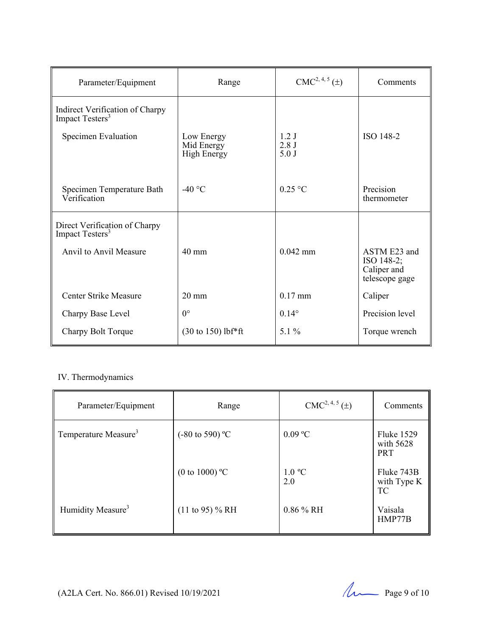| Parameter/Equipment                                            | Range                                          | $CMC2, 4, 5(\pm)$    | Comments                                                    |
|----------------------------------------------------------------|------------------------------------------------|----------------------|-------------------------------------------------------------|
| Indirect Verification of Charpy<br>Impact Testers <sup>3</sup> |                                                |                      |                                                             |
| Specimen Evaluation                                            | Low Energy<br>Mid Energy<br><b>High Energy</b> | 1.2J<br>2.8J<br>5.0J | ISO 148-2                                                   |
| Specimen Temperature Bath<br>Verification                      | -40 $\degree$ C                                | $0.25$ °C            | Precision<br>thermometer                                    |
| Direct Verification of Charpy<br>Impact Testers <sup>3</sup>   |                                                |                      |                                                             |
| Anvil to Anvil Measure                                         | $40 \text{ mm}$                                | $0.042$ mm           | ASTM E23 and<br>ISO 148-2;<br>Caliper and<br>telescope gage |
| Center Strike Measure                                          | $20 \text{ mm}$                                | $0.17$ mm            | Caliper                                                     |
| Charpy Base Level                                              | $0^{\circ}$                                    | $0.14^{\circ}$       | Precision level                                             |
| Charpy Bolt Torque                                             | $(30 \text{ to } 150)$ lbf*ft                  | $5.1\%$              | Torque wrench                                               |

### IV. Thermodynamics

| Parameter/Equipment              | Range                      | $CMC2, 4, 5(\pm)$       | Comments                                     |
|----------------------------------|----------------------------|-------------------------|----------------------------------------------|
| Temperature Measure <sup>3</sup> | $(-80 \text{ to } 590)$ °C | $0.09$ °C               | <b>Fluke 1529</b><br>with 5628<br><b>PRT</b> |
|                                  | (0 to 1000) $^{\circ}$ C   | $1.0 \text{ °C}$<br>2.0 | Fluke 743B<br>with Type K<br><b>TC</b>       |
| Humidity Measure <sup>3</sup>    | $(11 \text{ to } 95)$ % RH | $0.86\%$ RH             | Vaisala<br>HMP77B                            |